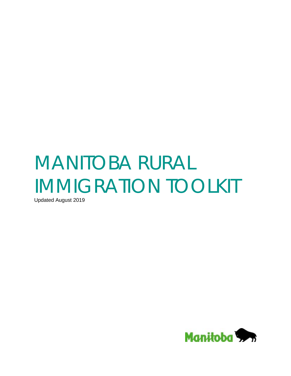# MANITOBA RURAL IMMIGRATION TOOLKIT

Updated August 2019

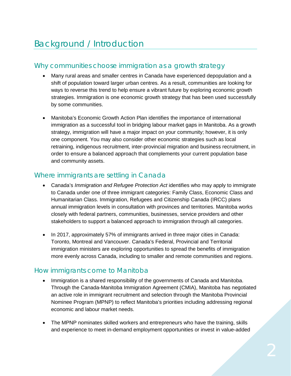## Why communities choose immigration as a growth strategy

- Many rural areas and smaller centres in Canada have experienced depopulation and a shift of population toward larger urban centres. As a result, communities are looking for ways to reverse this trend to help ensure a vibrant future by exploring economic growth strategies. Immigration is one economic growth strategy that has been used successfully by some communities.
- Manitoba's Economic Growth Action Plan identifies the importance of international immigration as a successful tool in bridging labour market gaps in Manitoba. As a growth strategy, immigration will have a major impact on your community; however, it is only one component. You may also consider other economic strategies such as local retraining, indigenous recruitment, inter-provincial migration and business recruitment, in order to ensure a balanced approach that complements your current population base and community assets.

#### Where immigrants are settling in Canada

- Canada's *Immigration and Refugee Protection Act* identifies who may apply to immigrate to Canada under one of three immigrant categories: Family Class, Economic Class and Humanitarian Class. Immigration, Refugees and Citizenship Canada (IRCC) plans annual immigration levels in consultation with provinces and territories. Manitoba works closely with federal partners, communities, businesses, service providers and other stakeholders to support a balanced approach to immigration through all categories.
- In 2017, approximately 57% of immigrants arrived in three major cities in Canada: Toronto, Montreal and Vancouver. Canada's Federal, Provincial and Territorial immigration ministers are exploring opportunities to spread the benefits of immigration more evenly across Canada, including to smaller and remote communities and regions.

#### How immigrants come to Manitoba

- Immigration is a shared responsibility of the governments of Canada and Manitoba. Through the Canada-Manitoba Immigration Agreement (CMIA), Manitoba has negotiated an active role in immigrant recruitment and selection through the Manitoba Provincial Nominee Program (MPNP) to reflect Manitoba's priorities including addressing regional economic and labour market needs.
- The MPNP nominates skilled workers and entrepreneurs who have the training, skills and experience to meet in-demand employment opportunities or invest in value-added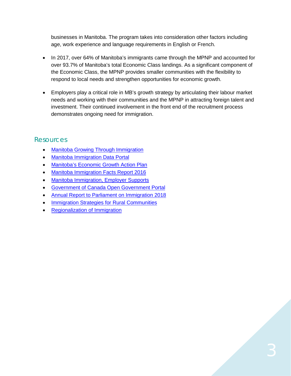businesses in Manitoba. The program takes into consideration other factors including age, work experience and language requirements in English or French.

- In 2017, over 64% of Manitoba's immigrants came through the MPNP and accounted for over 93.7% of Manitoba's total Economic Class landings. As a significant component of the Economic Class, the MPNP provides smaller communities with the flexibility to respond to local needs and strengthen opportunities for economic growth.
- Employers play a critical role in MB's growth strategy by articulating their labour market needs and working with their communities and the MPNP in attracting foreign talent and investment. Their continued involvement in the front end of the recruitment process demonstrates ongoing need for immigration.

#### **Resources**

- [Manitoba Growing Through Immigration](https://www.immigratemanitoba.com/)
- [Manitoba Immigration Data Portal](https://www.immigratemanitoba.com/data-portal/)
- [Manitoba's Economic Growth Action Plan](https://www.gov.mb.ca/jec/egap/index.html.)
- [Manitoba Immigration Facts Report 2016](https://www.immigratemanitoba.com/facts-report-2016/)
- [Manitoba Immigration, Employer Supports](https://www.immigratemanitoba.com/information-for-employers/)
- [Government of Canada Open Government Portal](https://open.canada.ca/data/en/dataset?_organization_limit=0&organization=cic)
- [Annual Report to Parliament on Immigration 2018](https://www.canada.ca/content/dam/ircc/migration/ircc/english/pdf/pub/annual-report-2018.pdf)
- [Immigration Strategies for Rural Communities](https://www.brandonu.ca/rdi/files/2015/09/Leaders-Roundtable-on-Immigration2013-Immigration-Strategies-for-Rural-Communities.pdf)
- [Regionalization of Immigration](http://canada.metropolis.net/events/conversation/conversation_summary_9.pdf)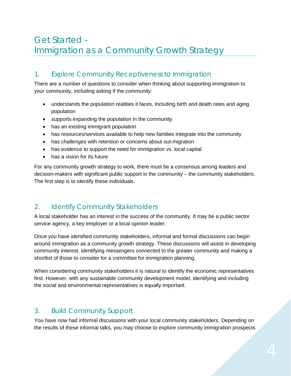# Get Started - Immigration as a Community Growth Strategy

### 1. Explore Community Receptiveness to Immigration

There are a number of questions to consider when thinking about supporting immigration to your community, including asking if the community:

- understands the population realities it faces, including birth and death rates and aging population
- supports expanding the population in the community
- has an existing immigrant population
- has resources/services available to help new families integrate into the community
- has challenges with retention or concerns about out-migration
- has evidence to support the need for immigration vs. local capital
- has a vision for its future

For any community growth strategy to work, there must be a consensus among leaders and decision-makers with significant public support in the community – the community stakeholders. The first step is to identify these individuals.

#### 2. Identify Community Stakeholders

A local stakeholder has an interest in the success of the community. It may be a public sector service agency, a key employer or a local opinion leader.

Once you have identified community stakeholders, informal and formal discussions can begin around immigration as a community growth strategy. These discussions will assist in developing community interest, identifying messengers connected to the greater community and making a shortlist of those to consider for a committee for immigration planning.

When considering community stakeholders it is natural to identify the economic representatives first. However, with any sustainable community development model, identifying and including the social and environmental representatives is equally important.

## 3. Build Community Support

You have now had informal discussions with your local community stakeholders. Depending on the results of these informal talks, you may choose to explore community immigration prospects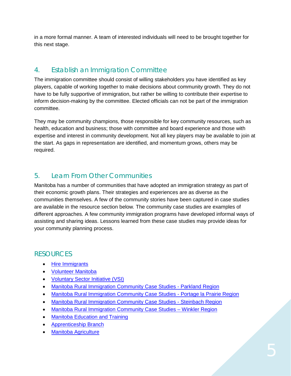in a more formal manner. A team of interested individuals will need to be brought together for this next stage.

## 4. Establish an Immigration Committee

The immigration committee should consist of willing stakeholders you have identified as key players, capable of working together to make decisions about community growth. They do not have to be fully supportive of immigration, but rather be willing to contribute their expertise to inform decision-making by the committee. Elected officials can not be part of the immigration committee.

They may be community champions, those responsible for key community resources, such as health, education and business; those with committee and board experience and those with expertise and interest in community development. Not all key players may be available to join at the start. As gaps in representation are identified, and momentum grows, others may be required.

## 5. Learn From Other Communities

Manitoba has a number of communities that have adopted an immigration strategy as part of their economic growth plans. Their strategies and experiences are as diverse as the communities themselves. A few of the community stories have been captured in case studies are available in the resource section below*.* The community case studies are examples of different approaches. A few community immigration programs have developed informal ways of assisting and sharing ideas. Lessons learned from these case studies may provide ideas for your community planning process.

## RESOURCES

- [Hire Immigrants](http://www.hireimmigrants.ca/about/)
- [Volunteer Manitoba](https://www.volunteermanitoba.ca/)
- [Voluntary Sector Initiative \(VSI\)](http://www.vsi-isbc.ca/eng/)
- [Manitoba Rural Immigration Community Case Studies -](https://www.brandonu.ca/rdi/files/2015/08/Manitoba_Rural_Immigration_Parkland_CaseStudies.pdf) Parkland Region
- [Manitoba Rural Immigration Community Case Studies -](https://www.brandonu.ca/rdi/files/2015/08/Manitoba_Rural_-Immigration_PortagelaPrairie_CaseStudy.pdf) Portage la Prairie Region
- [Manitoba Rural Immigration Community Case Studies -](file://ME/lab/574labWGP/IAMCIT/13%20-%20Executive%20Admin/4%20-%20OTHER%20REQUESTS/IRCC%20Rural%20Immigration%20Pilot/Manitoba%20Rural%20Immigration%20Community%20Case%20Studies) Steinbach Region
- Manitoba Rural Immigration Community Case Studies Winkler Region
- [Manitoba Education and Training](https://www.edu.gov.mb.ca/index.html)
- [Apprenticeship Branch](https://www.gov.mb.ca/wd/apprenticeship/)
- [Manitoba Agriculture](https://www.gov.mb.ca/agriculture/)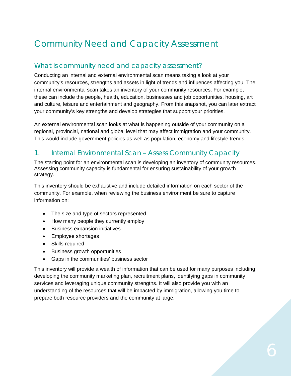# Community Need and Capacity Assessment

#### What is community need and capacity assessment?

Conducting an internal and external environmental scan means taking a look at your community's resources, strengths and assets in light of trends and influences affecting you. The internal environmental scan takes an inventory of your community resources. For example, these can include the people, health, education, businesses and job opportunities, housing, art and culture, leisure and entertainment and geography. From this snapshot, you can later extract your community's key strengths and develop strategies that support your priorities.

An external environmental scan looks at what is happening outside of your community on a regional, provincial, national and global level that may affect immigration and your community. This would include government policies as well as population, economy and lifestyle trends.

#### 1. Internal Environmental Scan – Assess Community Capacity

The starting point for an environmental scan is developing an inventory of community resources. Assessing community capacity is fundamental for ensuring sustainability of your growth strategy.

This inventory should be exhaustive and include detailed information on each sector of the community. For example, when reviewing the business environment be sure to capture information on:

- The size and type of sectors represented
- How many people they currently employ
- Business expansion initiatives
- Employee shortages
- Skills required
- Business growth opportunities
- Gaps in the communities' business sector

This inventory will provide a wealth of information that can be used for many purposes including developing the community marketing plan, recruitment plans, identifying gaps in community services and leveraging unique community strengths. It will also provide you with an understanding of the resources that will be impacted by immigration, allowing you time to prepare both resource providers and the community at large.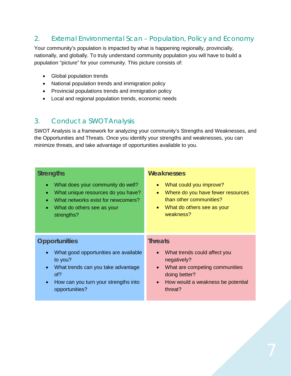## 2. External Environmental Scan – Population, Policy and Economy

Your community's population is impacted by what is happening regionally, provincially, nationally, and globally. To truly understand community population you will have to build a population "picture" for your community. This picture consists of:

- Global population trends
- National population trends and immigration policy
- Provincial populations trends and immigration policy
- Local and regional population trends, economic needs

#### 3. Conduct a SWOT Analysis

SWOT Analysis is a framework for analyzing your community's Strengths and Weaknesses, and the Opportunities and Threats. Once you identify your strengths and weaknesses, you can minimize threats, and take advantage of opportunities available to you.

| <b>Strengths</b><br>What does your community do well?<br>$\bullet$<br>What unique resources do you have?<br>$\bullet$<br>What networks exist for newcomers?<br>$\bullet$<br>What do others see as your<br>$\bullet$<br>strengths? | <b>Weaknesses</b><br>What could you improve?<br>$\bullet$<br>Where do you have fewer resources<br>$\bullet$<br>than other communities?<br>What do others see as your<br>weakness? |
|-----------------------------------------------------------------------------------------------------------------------------------------------------------------------------------------------------------------------------------|-----------------------------------------------------------------------------------------------------------------------------------------------------------------------------------|
| <b>Opportunities</b><br>What good opportunities are available<br>$\bullet$<br>to you?<br>What trends can you take advantage<br>$\bullet$<br>of?<br>How can you turn your strengths into<br>$\bullet$<br>opportunities?            | <b>Threats</b><br>What trends could affect you<br>negatively?<br>What are competing communities<br>doing better?<br>How would a weakness be potential<br>$\bullet$<br>threat?     |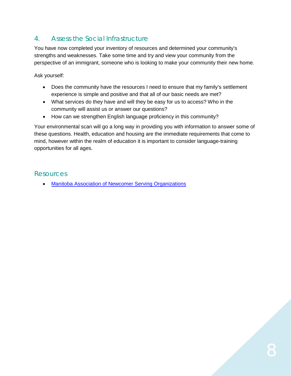## 4. Assess the Social Infrastructure

You have now completed your inventory of resources and determined your community's strengths and weaknesses. Take some time and try and view your community from the perspective of an immigrant, someone who is looking to make your community their new home.

Ask yourself:

- Does the community have the resources I need to ensure that my family's settlement experience is simple and positive and that all of our basic needs are met?
- What services do they have and will they be easy for us to access? Who in the community will assist us or answer our questions?
- How can we strengthen English language proficiency in this community?

Your environmental scan will go a long way in providing you with information to answer some of these questions. Health, education and housing are the immediate requirements that come to mind, however within the realm of education it is important to consider language-training opportunities for all ages.

#### **Resources**

• [Manitoba Association of Newcomer Serving Organizations](https://mansomanitoba.ca/)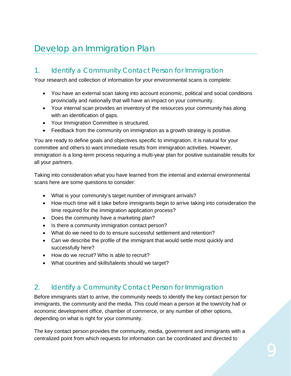# Develop an Immigration Plan

#### 1. Identify a Community Contact Person for Immigration

Your research and collection of information for your environmental scans is complete:

- You have an external scan taking into account economic, political and social conditions provincially and nationally that will have an impact on your community.
- Your internal scan provides an inventory of the resources your community has along with an identification of gaps.
- Your Immigration Committee is structured.
- Feedback from the community on immigration as a growth strategy is positive.

You are ready to define goals and objectives specific to immigration. It is natural for your committee and others to want immediate results from immigration activities. However, immigration is a long-term process requiring a multi-year plan for positive sustainable results for all your partners.

Taking into consideration what you have learned from the internal and external environmental scans here are some questions to consider:

- What is your community's target number of immigrant arrivals?
- How much time will it take before immigrants begin to arrive taking into consideration the time required for the immigration application process?
- Does the community have a marketing plan?
- Is there a community immigration contact person?
- What do we need to do to ensure successful settlement and retention?
- Can we describe the profile of the immigrant that would settle most quickly and successfully here?
- How do we recruit? Who is able to recruit?
- What countries and skills/talents should we target?

#### 2. Identify a Community Contact Person for Immigration

Before immigrants start to arrive, the community needs to identify the key contact person for immigrants, the community and the media. This could mean a person at the town/city hall or economic development office, chamber of commerce, or any number of other options, depending on what is right for your community.

The key contact person provides the community, media, government and immigrants with a centralized point from which requests for information can be coordinated and directed to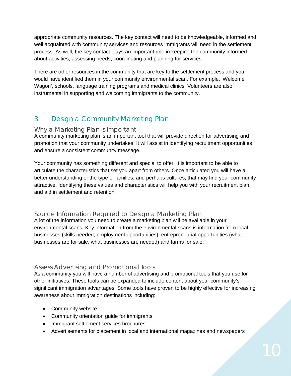appropriate community resources. The key contact will need to be knowledgeable, informed and well acquainted with community services and resources immigrants will need in the settlement process. As well, the key contact plays an important role in keeping the community informed about activities, assessing needs, coordinating and planning for services.

There are other resources in the community that are key to the settlement process and you would have identified them in your community environmental scan. For example, 'Welcome Wagon', schools, language training programs and medical clinics. Volunteers are also instrumental in supporting and welcoming immigrants to the community.

## 3. Design a Community Marketing Plan

#### Why a Marketing Plan is Important

A community marketing plan is an important tool that will provide direction for advertising and promotion that your community undertakes. It will assist in identifying recruitment opportunities and ensure a consistent community message.

Your community has something different and special to offer. It is important to be able to articulate the characteristics that set you apart from others. Once articulated you will have a better understanding of the type of families, and perhaps cultures, that may find your community attractive. Identifying these values and characteristics will help you with your recruitment plan and aid in settlement and retention.

#### Source Information Required to Design a Marketing Plan

A lot of the information you need to create a marketing plan will be available in your environmental scans. Key information from the environmental scans is information from local businesses (skills needed, employment opportunities), entrepreneurial opportunities (what businesses are for sale, what businesses are needed) and farms for sale.

#### Assess Advertising and Promotional Tools

As a community you will have a number of advertising and promotional tools that you use for other initiatives. These tools can be expanded to include content about your community's significant immigration advantages. Some tools have proven to be highly effective for increasing awareness about immigration destinations including:

- Community website
- Community orientation guide for immigrants
- Immigrant settlement services brochures
- Advertisements for placement in local and international magazines and newspapers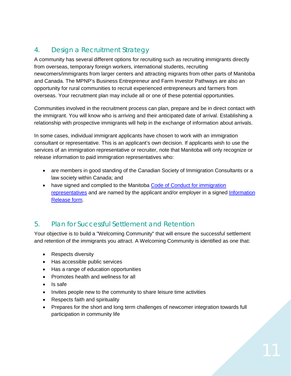## 4. Design a Recruitment Strategy

A community has several different options for recruiting such as recruiting immigrants directly from overseas, temporary foreign workers, international students, recruiting newcomers/immigrants from larger centers and attracting migrants from other parts of Manitoba and Canada. The MPNP's Business Entrepreneur and Farm Investor Pathways are also an opportunity for rural communities to recruit experienced entrepreneurs and farmers from overseas. Your recruitment plan may include all or one of these potential opportunities.

Communities involved in the recruitment process can plan, prepare and be in direct contact with the immigrant. You will know who is arriving and their anticipated date of arrival. Establishing a relationship with prospective immigrants will help in the exchange of information about arrivals.

In some cases, individual immigrant applicants have chosen to work with an immigration consultant or representative. This is an applicant's own decision. If applicants wish to use the services of an immigration representative or recruiter, note that Manitoba will only recognize or release information to paid immigration representatives who:

- are members in good standing of the Canadian Society of Immigration Consultants or a law society within Canada; and
- have signed and complied to the Manitoba Code of Conduct for immigration [representatives](https://www.immigratemanitoba.com/wp-content/uploads/2016/06/MPNP_Code_of_Conduct_Mar_2017.pdf) and are named by the applicant and/or employer in a signed Information [Release form.](https://www.immigratemanitoba.com/wp-content/uploads/2018/05/BIS-MBREL-052018.pdf)

#### 5. Plan for Successful Settlement and Retention

Your objective is to build a "Welcoming Community" that will ensure the successful settlement and retention of the immigrants you attract. A Welcoming Community is identified as one that:

- Respects diversity
- Has accessible public services
- Has a range of education opportunities
- Promotes health and wellness for all
- Is safe
- Invites people new to the community to share leisure time activities
- Respects faith and spirituality
- Prepares for the short and long term challenges of newcomer integration towards full participation in community life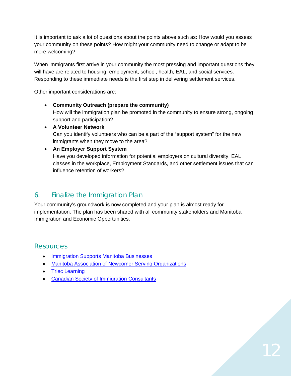It is important to ask a lot of questions about the points above such as: How would you assess your community on these points? How might your community need to change or adapt to be more welcoming?

When immigrants first arrive in your community the most pressing and important questions they will have are related to housing, employment, school, health, EAL, and social services. Responding to these immediate needs is the first step in delivering settlement services.

Other important considerations are:

- **Community Outreach (prepare the community)** How will the immigration plan be promoted in the community to ensure strong, ongoing support and participation?
- **A Volunteer Network** Can you identify volunteers who can be a part of the "support system" for the new immigrants when they move to the area?

#### • **An Employer Support System**

Have you developed information for potential employers on cultural diversity, EAL classes in the workplace, Employment Standards, and other settlement issues that can influence retention of workers?

#### 6. Finalize the Immigration Plan

Your community's groundwork is now completed and your plan is almost ready for implementation. The plan has been shared with all community stakeholders and Manitoba Immigration and Economic Opportunities.

#### Resources

- [Immigration](https://www.immigratemanitoba.com/information-for-employers/) Supports Manitoba Businesses
- [Manitoba Association of Newcomer Serving Organizations](https://mansomanitoba.ca/contact/)
- [Triec Learning](https://trieclearning.ca/)
- [Canadian Society of Immigration Consultants](https://iccrc-crcic.ca/)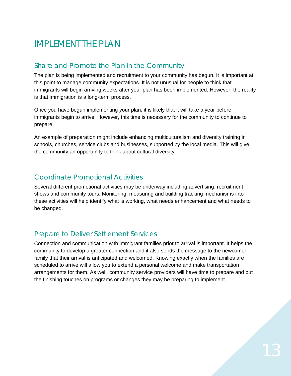# IMPLEMENT THE PLAN

## Share and Promote the Plan in the Community

The plan is being implemented and recruitment to your community has begun. It is important at this point to manage community expectations. It is not unusual for people to think that immigrants will begin arriving weeks after your plan has been implemented. However, the reality is that immigration is a long-term process.

Once you have begun implementing your plan, it is likely that it will take a year before immigrants begin to arrive. However, this time is necessary for the community to continue to prepare.

An example of preparation might include enhancing multiculturalism and diversity training in schools, churches, service clubs and businesses, supported by the local media. This will give the community an opportunity to think about cultural diversity.

## Coordinate Promotional Activities

Several different promotional activities may be underway including advertising, recruitment shows and community tours. Monitoring, measuring and building tracking mechanisms into these activities will help identify what is working, what needs enhancement and what needs to be changed.

#### Prepare to Deliver Settlement Services

Connection and communication with immigrant families prior to arrival is important. It helps the community to develop a greater connection and it also sends the message to the newcomer family that their arrival is anticipated and welcomed. Knowing exactly when the families are scheduled to arrive will allow you to extend a personal welcome and make transportation arrangements for them. As well, community service providers will have time to prepare and put the finishing touches on programs or changes they may be preparing to implement.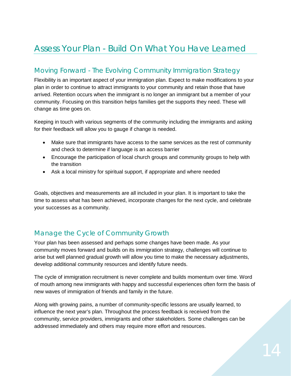# Assess Your Plan - Build On What You Have Learned

#### Moving Forward - The Evolving Community Immigration Strategy

Flexibility is an important aspect of your immigration plan. Expect to make modifications to your plan in order to continue to attract immigrants to your community and retain those that have arrived. Retention occurs when the immigrant is no longer an immigrant but a member of your community. Focusing on this transition helps families get the supports they need. These will change as time goes on.

Keeping in touch with various segments of the community including the immigrants and asking for their feedback will allow you to gauge if change is needed.

- Make sure that immigrants have access to the same services as the rest of community and check to determine if language is an access barrier
- Encourage the participation of local church groups and community groups to help with the transition
- Ask a local ministry for spiritual support, if appropriate and where needed

Goals, objectives and measurements are all included in your plan. It is important to take the time to assess what has been achieved, incorporate changes for the next cycle, and celebrate your successes as a community.

## Manage the Cycle of Community Growth

Your plan has been assessed and perhaps some changes have been made. As your community moves forward and builds on its immigration strategy, challenges will continue to arise but well planned gradual growth will allow you time to make the necessary adjustments, develop additional community resources and identify future needs.

The cycle of immigration recruitment is never complete and builds momentum over time. Word of mouth among new immigrants with happy and successful experiences often form the basis of new waves of immigration of friends and family in the future.

Along with growing pains, a number of community-specific lessons are usually learned, to influence the next year's plan. Throughout the process feedback is received from the community, service providers, immigrants and other stakeholders. Some challenges can be addressed immediately and others may require more effort and resources.